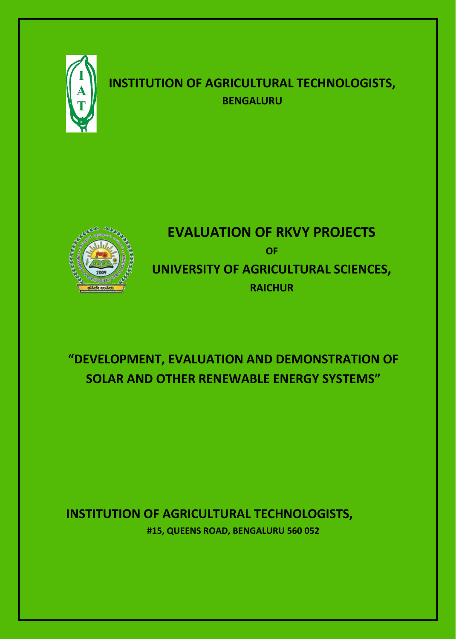

## **INSTITUTION OF AGRICULTURAL TECHNOLOGISTS, BENGALURU**



# **EVALUATION OF RKVY PROJECTS OF UNIVERSITY OF AGRICULTURAL SCIENCES, RAICHUR**

# **"DEVELOPMENT, EVALUATION AND DEMONSTRATION OF SOLAR AND OTHER RENEWABLE ENERGY SYSTEMS"**

### **INSTITUTION OF AGRICULTURAL TECHNOLOGISTS,**

**#15, QUEENS ROAD, BENGALURU 560 052**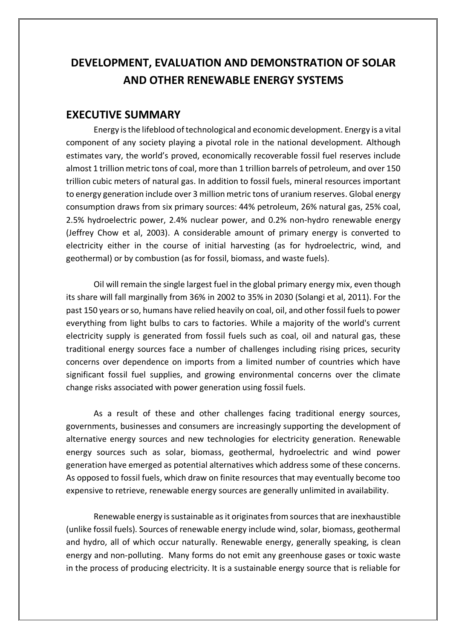### **DEVELOPMENT, EVALUATION AND DEMONSTRATION OF SOLAR AND OTHER RENEWABLE ENERGY SYSTEMS**

#### **EXECUTIVE SUMMARY**

Energy is the lifeblood of technological and economic development. Energy is a vital component of any society playing a pivotal role in the national development. Although estimates vary, the world's proved, economically recoverable fossil fuel reserves include almost 1 trillion metric tons of coal, more than 1 trillion barrels of petroleum, and over 150 trillion cubic meters of natural gas. In addition to fossil fuels, mineral resources important to energy generation include over 3 million metric tons of uranium reserves. Global energy consumption draws from six primary sources: 44% petroleum, 26% natural gas, 25% coal, 2.5% hydroelectric power, 2.4% nuclear power, and 0.2% non-hydro renewable energy (Jeffrey Chow et al, 2003). A considerable amount of primary energy is converted to electricity either in the course of initial harvesting (as for hydroelectric, wind, and geothermal) or by combustion (as for fossil, biomass, and waste fuels).

Oil will remain the single largest fuel in the global primary energy mix, even though its share will fall marginally from 36% in 2002 to 35% in 2030 (Solangi et al, 2011). For the past 150 years or so, humans have relied heavily on coal, oil, and other fossil fuels to power everything from light bulbs to cars to factories. While a majority of the world's current electricity supply is generated from fossil fuels such as coal, oil and natural gas, these traditional energy sources face a number of challenges including rising prices, security concerns over dependence on imports from a limited number of countries which have significant fossil fuel supplies, and growing environmental concerns over the climate change risks associated with power generation using fossil fuels.

As a result of these and other challenges facing traditional energy sources, governments, businesses and consumers are increasingly supporting the development of alternative energy sources and new technologies for electricity generation. Renewable energy sources such as solar, biomass, geothermal, hydroelectric and wind power generation have emerged as potential alternatives which address some of these concerns. As opposed to fossil fuels, which draw on finite resources that may eventually become too expensive to retrieve, renewable energy sources are generally unlimited in availability.

Renewable energy is sustainable as it originates from sources that are inexhaustible (unlike fossil fuels). Sources of renewable energy include wind, solar, biomass, geothermal and hydro, all of which occur naturally. Renewable energy, generally speaking, is clean energy and non-polluting. Many forms do not emit any greenhouse gases or toxic waste in the process of producing electricity. It is a sustainable energy source that is reliable for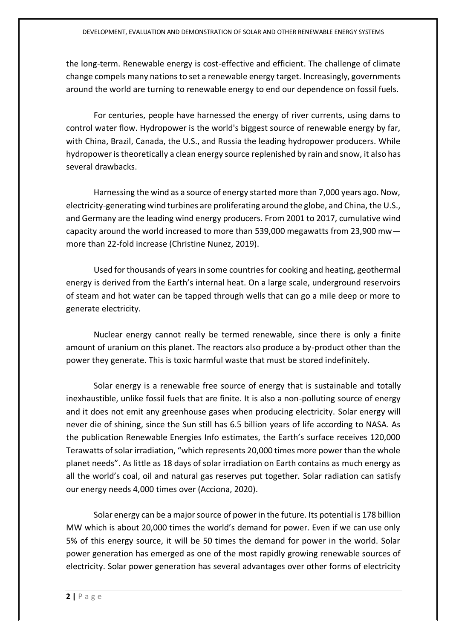the long-term. Renewable energy is cost-effective and efficient. The challenge of climate change compels many nations to set a renewable energy target. Increasingly, governments around the world are turning to renewable energy to end our dependence on fossil fuels.

For centuries, people have harnessed the energy of river currents, using dams to control water flow. Hydropower is the world's biggest source of renewable energy by far, with China, Brazil, Canada, the U.S., and Russia the leading hydropower producers. While hydropower is theoretically a clean energy source replenished by rain and snow, it also has several drawbacks.

Harnessing the wind as a source of energy started more than 7,000 years ago. Now, electricity-generating wind turbines are proliferating around the globe, and China, the U.S., and Germany are the leading wind energy producers. From 2001 to 2017, cumulative wind capacity around the world increased to more than 539,000 megawatts from 23,900 mw more than 22-fold increase (Christine Nunez, 2019).

Used for thousands of years in some countries for cooking and heating, geothermal energy is derived from the Earth's internal heat. On a large scale, underground reservoirs of steam and hot water can be tapped through wells that can go a mile deep or more to generate electricity.

Nuclear energy cannot really be termed renewable, since there is only a finite amount of uranium on this planet. The reactors also produce a by-product other than the power they generate. This is toxic harmful waste that must be stored indefinitely.

Solar energy is a renewable free source of energy that is sustainable and totally inexhaustible, unlike fossil fuels that are finite. It is also a non-polluting source of energy and it does not emit any greenhouse gases when producing electricity. Solar energy will never die of shining, since the Sun still has 6.5 billion years of life according to NASA. As the publication Renewable Energies Info estimates, the Earth's surface receives 120,000 Terawatts of solar irradiation, "which represents 20,000 times more power than the whole planet needs". As little as 18 days of solar irradiation on Earth contains as much energy as all the world's coal, oil and natural gas reserves put together. Solar radiation can satisfy our energy needs 4,000 times over (Acciona, 2020).

Solar energy can be a major source of power in the future. Its potential is 178 billion MW which is about 20,000 times the world's demand for power. Even if we can use only 5% of this energy source, it will be 50 times the demand for power in the world. Solar power generation has emerged as one of the most rapidly growing renewable sources of electricity. Solar power generation has several advantages over other forms of electricity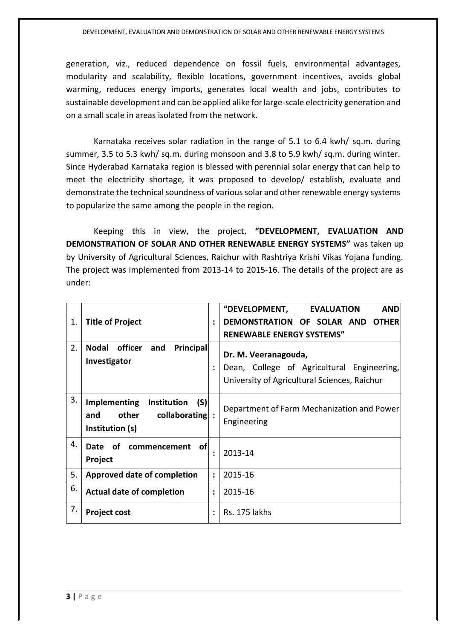generation, viz., reduced dependence on fossil fuels, environmental advantages, modularity and scalability, flexible locations, government incentives, avoids global warming, reduces energy imports, generates local wealth and jobs, contributes to sustainable development and can be applied alike for large-scale electricity generation and on a small scale in areas isolated from the network.

Karnataka receives solar radiation in the range of 5.1 to 6.4 kwh/ sq.m. during summer, 3.5 to 5.3 kwh/ sq.m. during monsoon and 3.8 to 5.9 kwh/ sq.m. during winter. Since Hyderabad Karnataka region is blessed with perennial solar energy that can help to meet the electricity shortage, it was proposed to develop/ establish, evaluate and demonstrate the technical soundness of various solar and other renewable energy systems to popularize the same among the people in the region.

Keeping this in view, the project, **"DEVELOPMENT, EVALUATION AND DEMONSTRATION OF SOLAR AND OTHER RENEWABLE ENERGY SYSTEMS"** was taken up by University of Agricultural Sciences, Raichur with Rashtriya Krishi Vikas Yojana funding. The project was implemented from 2013-14 to 2015-16. The details of the project are as under:

| 1. | <b>Title of Project</b>                                                                       | ÷                    | "DEVELOPMENT,<br><b>AND</b><br><b>EVALUATION</b><br>DEMONSTRATION OF SOLAR AND<br><b>OTHER</b><br><b>RENEWABLE ENERGY SYSTEMS"</b> |
|----|-----------------------------------------------------------------------------------------------|----------------------|------------------------------------------------------------------------------------------------------------------------------------|
| 2. | <b>Nodal</b><br>officer<br><b>Principal</b><br>and<br>Investigator                            |                      | Dr. M. Veeranagouda,<br>Dean, College of Agricultural Engineering,<br>University of Agricultural Sciences, Raichur                 |
| 3. | <b>Implementing</b><br>Institution<br>(S)<br>other<br>collaborating<br>and<br>Institution (s) |                      | Department of Farm Mechanization and Power<br>Engineering                                                                          |
| 4. | ∣of<br><b>Date</b><br>of<br>commencement<br>Project                                           | $\ddot{\phantom{a}}$ | 2013-14                                                                                                                            |
| 5. | <b>Approved date of completion</b>                                                            | $\ddot{\cdot}$       | 2015-16                                                                                                                            |
| 6. | <b>Actual date of completion</b>                                                              | $\ddot{\phantom{a}}$ | 2015-16                                                                                                                            |
| 7. | <b>Project cost</b>                                                                           |                      | Rs. 175 lakhs                                                                                                                      |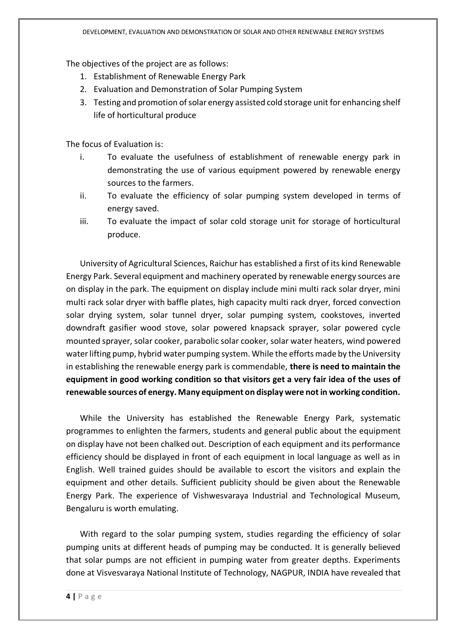The objectives of the project are as follows:

- 1. Establishment of Renewable Energy Park
- 2. Evaluation and Demonstration of Solar Pumping System
- 3. Testing and promotion of solar energy assisted cold storage unit for enhancing shelf life of horticultural produce

The focus of Evaluation is:

- i. To evaluate the usefulness of establishment of renewable energy park in demonstrating the use of various equipment powered by renewable energy sources to the farmers.
- ii. To evaluate the efficiency of solar pumping system developed in terms of energy saved.
- iii. To evaluate the impact of solar cold storage unit for storage of horticultural produce.

University of Agricultural Sciences, Raichur has established a first of its kind Renewable Energy Park. Several equipment and machinery operated by renewable energy sources are on display in the park. The equipment on display include mini multi rack solar dryer, mini multi rack solar dryer with baffle plates, high capacity multi rack dryer, forced convection solar drying system, solar tunnel dryer, solar pumping system, cookstoves, inverted downdraft gasifier wood stove, solar powered knapsack sprayer, solar powered cycle mounted sprayer, solar cooker, parabolic solar cooker, solar water heaters, wind powered water lifting pump, hybrid water pumping system. While the efforts made by the University in establishing the renewable energy park is commendable, **there is need to maintain the equipment in good working condition so that visitors get a very fair idea of the uses of renewable sources of energy. Many equipment on display were not in working condition.**

While the University has established the Renewable Energy Park, systematic programmes to enlighten the farmers, students and general public about the equipment on display have not been chalked out. Description of each equipment and its performance efficiency should be displayed in front of each equipment in local language as well as in English. Well trained guides should be available to escort the visitors and explain the equipment and other details. Sufficient publicity should be given about the Renewable Energy Park. The experience of Vishwesvaraya Industrial and Technological Museum, Bengaluru is worth emulating.

With regard to the solar pumping system, studies regarding the efficiency of solar pumping units at different heads of pumping may be conducted. It is generally believed that solar pumps are not efficient in pumping water from greater depths. Experiments done at Visvesvaraya National Institute of Technology, NAGPUR, INDIA have revealed that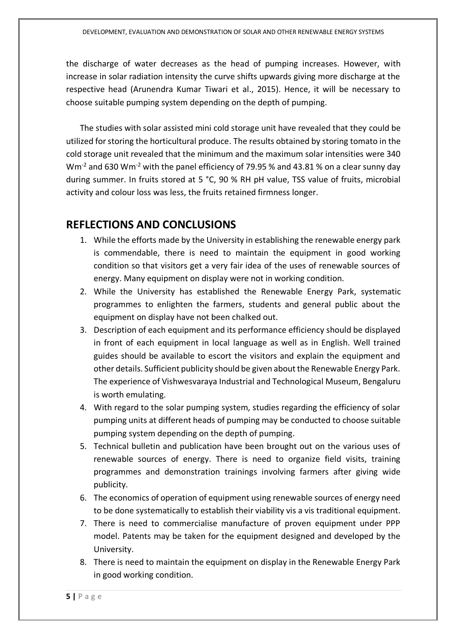the discharge of water decreases as the head of pumping increases. However, with increase in solar radiation intensity the curve shifts upwards giving more discharge at the respective head (Arunendra Kumar Tiwari et al., 2015). Hence, it will be necessary to choose suitable pumping system depending on the depth of pumping.

The studies with solar assisted mini cold storage unit have revealed that they could be utilized for storing the horticultural produce. The results obtained by storing tomato in the cold storage unit revealed that the minimum and the maximum solar intensities were 340  $Wm<sup>-2</sup>$  and 630 Wm<sup>-2</sup> with the panel efficiency of 79.95 % and 43.81 % on a clear sunny day during summer. In fruits stored at 5 °C, 90 % RH pH value, TSS value of fruits, microbial activity and colour loss was less, the fruits retained firmness longer.

#### **REFLECTIONS AND CONCLUSIONS**

- 1. While the efforts made by the University in establishing the renewable energy park is commendable, there is need to maintain the equipment in good working condition so that visitors get a very fair idea of the uses of renewable sources of energy. Many equipment on display were not in working condition.
- 2. While the University has established the Renewable Energy Park, systematic programmes to enlighten the farmers, students and general public about the equipment on display have not been chalked out.
- 3. Description of each equipment and its performance efficiency should be displayed in front of each equipment in local language as well as in English. Well trained guides should be available to escort the visitors and explain the equipment and other details. Sufficient publicity should be given about the Renewable Energy Park. The experience of Vishwesvaraya Industrial and Technological Museum, Bengaluru is worth emulating.
- 4. With regard to the solar pumping system, studies regarding the efficiency of solar pumping units at different heads of pumping may be conducted to choose suitable pumping system depending on the depth of pumping.
- 5. Technical bulletin and publication have been brought out on the various uses of renewable sources of energy. There is need to organize field visits, training programmes and demonstration trainings involving farmers after giving wide publicity.
- 6. The economics of operation of equipment using renewable sources of energy need to be done systematically to establish their viability vis a vis traditional equipment.
- 7. There is need to commercialise manufacture of proven equipment under PPP model. Patents may be taken for the equipment designed and developed by the University.
- 8. There is need to maintain the equipment on display in the Renewable Energy Park in good working condition.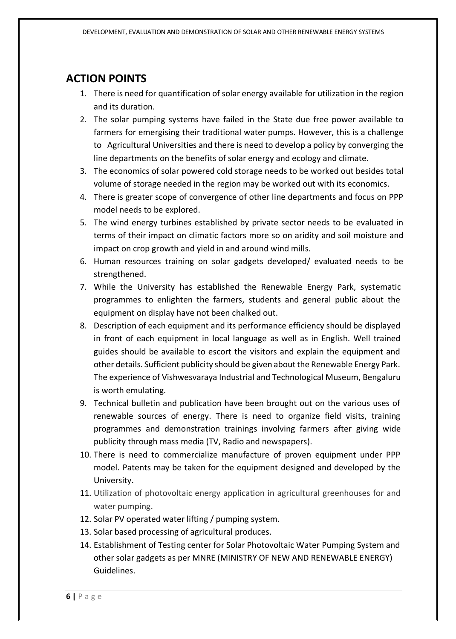### **ACTION POINTS**

- 1. There is need for quantification of solar energy available for utilization in the region and its duration.
- 2. The solar pumping systems have failed in the State due free power available to farmers for emergising their traditional water pumps. However, this is a challenge to Agricultural Universities and there is need to develop a policy by converging the line departments on the benefits of solar energy and ecology and climate.
- 3. The economics of solar powered cold storage needs to be worked out besides total volume of storage needed in the region may be worked out with its economics.
- 4. There is greater scope of convergence of other line departments and focus on PPP model needs to be explored.
- 5. The wind energy turbines established by private sector needs to be evaluated in terms of their impact on climatic factors more so on aridity and soil moisture and impact on crop growth and yield in and around wind mills.
- 6. Human resources training on solar gadgets developed/ evaluated needs to be strengthened.
- 7. While the University has established the Renewable Energy Park, systematic programmes to enlighten the farmers, students and general public about the equipment on display have not been chalked out.
- 8. Description of each equipment and its performance efficiency should be displayed in front of each equipment in local language as well as in English. Well trained guides should be available to escort the visitors and explain the equipment and other details. Sufficient publicity should be given about the Renewable Energy Park. The experience of Vishwesvaraya Industrial and Technological Museum, Bengaluru is worth emulating.
- 9. Technical bulletin and publication have been brought out on the various uses of renewable sources of energy. There is need to organize field visits, training programmes and demonstration trainings involving farmers after giving wide publicity through mass media (TV, Radio and newspapers).
- 10. There is need to commercialize manufacture of proven equipment under PPP model. Patents may be taken for the equipment designed and developed by the University.
- 11. Utilization of photovoltaic energy application in agricultural greenhouses for and water pumping.
- 12. Solar PV operated water lifting / pumping system.
- 13. Solar based processing of agricultural produces.
- 14. Establishment of Testing center for Solar Photovoltaic Water Pumping System and other solar gadgets as per MNRE (MINISTRY OF NEW AND RENEWABLE ENERGY) Guidelines.